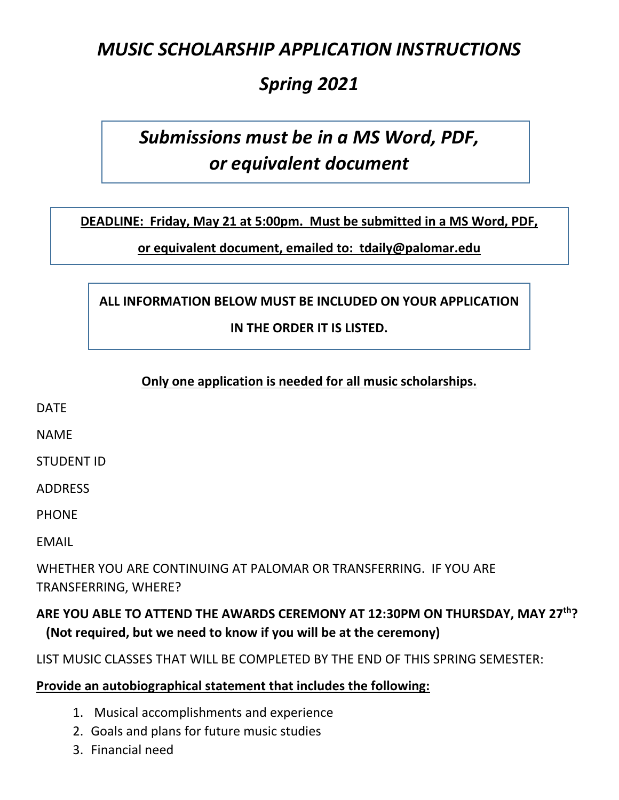# *MUSIC SCHOLARSHIP APPLICATION INSTRUCTIONS*

# *Spring 2021*

# *Submissions must be in a MS Word, PDF, or equivalent document*

**DEADLINE: Friday, May 21 at 5:00pm. Must be submitted in a MS Word, PDF,** 

**or equivalent document, emailed to: tdaily@palomar.edu**

## **ALL INFORMATION BELOW MUST BE INCLUDED ON YOUR APPLICATION IN THE ORDER IT IS LISTED.**

#### **Only one application is needed for all music scholarships.**

DATE

NAME

STUDENT ID

ADDRESS

PHONE

EMAIL

WHETHER YOU ARE CONTINUING AT PALOMAR OR TRANSFERRING. IF YOU ARE TRANSFERRING, WHERE?

### **ARE YOU ABLE TO ATTEND THE AWARDS CEREMONY AT 12:30PM ON THURSDAY, MAY 27th? (Not required, but we need to know if you will be at the ceremony)**

#### LIST MUSIC CLASSES THAT WILL BE COMPLETED BY THE END OF THIS SPRING SEMESTER:

#### **Provide an autobiographical statement that includes the following:**

- 1. Musical accomplishments and experience
- 2. Goals and plans for future music studies
- 3. Financial need